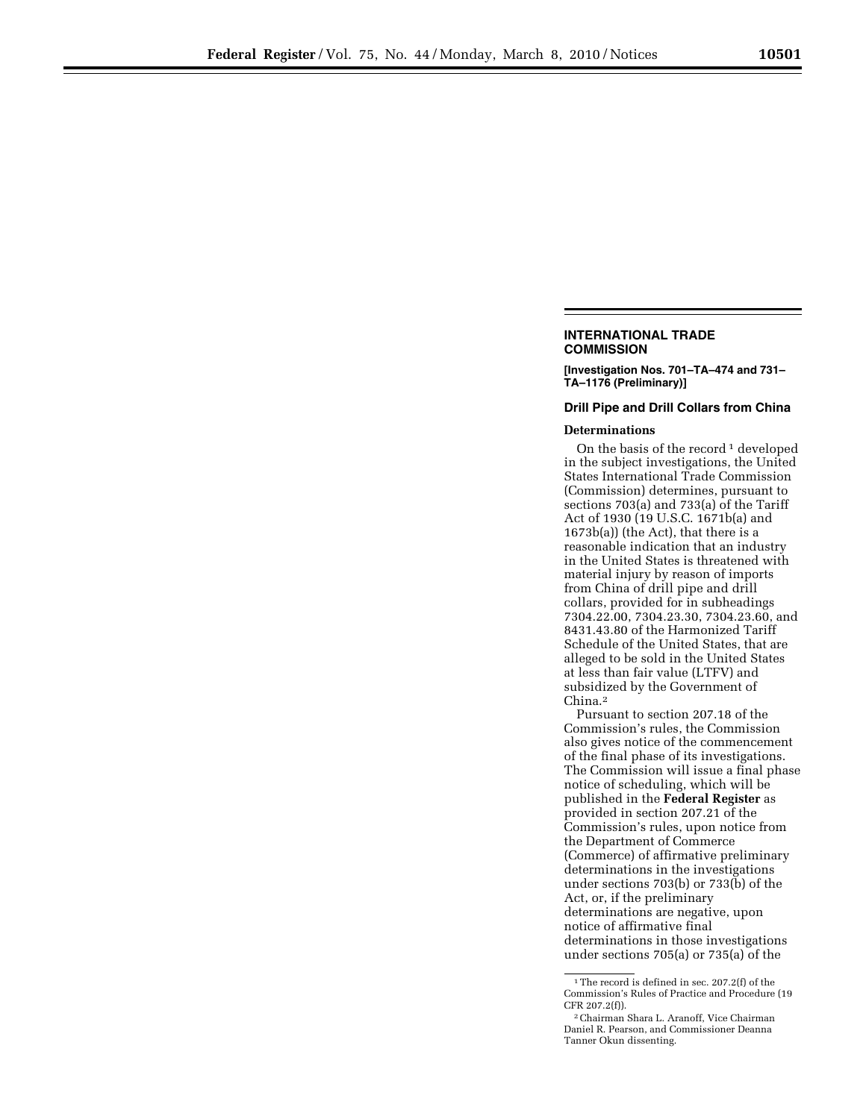## **INTERNATIONAL TRADE COMMISSION**

**[Investigation Nos. 701–TA–474 and 731– TA–1176 (Preliminary)]** 

## **Drill Pipe and Drill Collars from China**

## **Determinations**

On the basis of the record  $1$  developed in the subject investigations, the United States International Trade Commission (Commission) determines, pursuant to sections 703(a) and 733(a) of the Tariff Act of 1930 (19 U.S.C. 1671b(a) and 1673b(a)) (the Act), that there is a reasonable indication that an industry in the United States is threatened with material injury by reason of imports from China of drill pipe and drill collars, provided for in subheadings 7304.22.00, 7304.23.30, 7304.23.60, and 8431.43.80 of the Harmonized Tariff Schedule of the United States, that are alleged to be sold in the United States at less than fair value (LTFV) and subsidized by the Government of China.2

Pursuant to section 207.18 of the Commission's rules, the Commission also gives notice of the commencement of the final phase of its investigations. The Commission will issue a final phase notice of scheduling, which will be published in the **Federal Register** as provided in section 207.21 of the Commission's rules, upon notice from the Department of Commerce (Commerce) of affirmative preliminary determinations in the investigations under sections 703(b) or 733(b) of the Act, or, if the preliminary determinations are negative, upon notice of affirmative final determinations in those investigations under sections 705(a) or 735(a) of the

<sup>1</sup>The record is defined in sec. 207.2(f) of the Commission's Rules of Practice and Procedure (19 CFR 207.2(f)).

<sup>2</sup>Chairman Shara L. Aranoff, Vice Chairman Daniel R. Pearson, and Commissioner Deanna Tanner Okun dissenting.